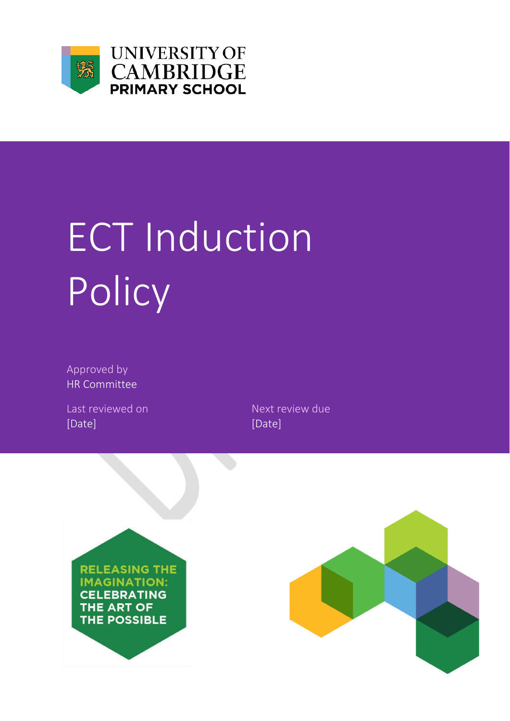

**UNIVERSITY OF CAMBRIDGE** PRIMARY SCHOOL

# ECT Induction Policy

Approved by HR Committee

Last reviewed on Next review due [Date] [Date]



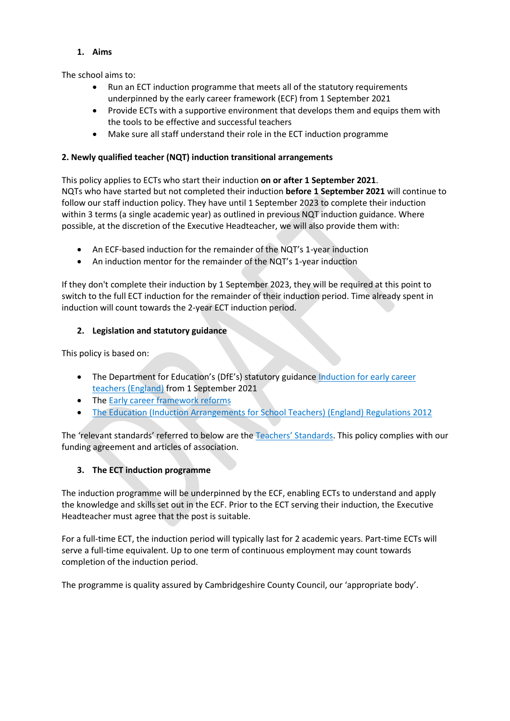# **1. Aims**

The school aims to:

- Run an ECT induction programme that meets all of the statutory requirements underpinned by the early career framework (ECF) from 1 September 2021
- Provide ECTs with a supportive environment that develops them and equips them with the tools to be effective and successful teachers
- Make sure all staff understand their role in the ECT induction programme

# **2. Newly qualified teacher (NQT) induction transitional arrangements**

This policy applies to ECTs who start their induction **on or after 1 September 2021**. NQTs who have started but not completed their induction **before 1 September 2021** will continue to follow our staff induction policy. They have until 1 September 2023 to complete their induction within 3 terms (a single academic year) as outlined in previous NQT induction guidance. Where possible, at the discretion of the Executive Headteacher, we will also provide them with:

- An ECF-based induction for the remainder of the NQT's 1-year induction
- An induction mentor for the remainder of the NQT's 1-year induction

If they don't complete their induction by 1 September 2023, they will be required at this point to switch to the full ECT induction for the remainder of their induction period. Time already spent in induction will count towards the 2-year ECT induction period.

# **2. Legislation and statutory guidance**

This policy is based on:

- The Department for Education's (DfE's) statutory guidance Induction for early career [teachers \(England\)](https://www.gov.uk/government/publications/induction-for-early-career-teachers-england) from 1 September 2021
- The [Early career framework reforms](https://www.gov.uk/government/collections/early-career-framework-reforms)
- The Education (Induction Arrangements for [School Teachers\) \(England\) Regulations 2012](http://www.legislation.gov.uk/uksi/2012/1115/contents/made)

The 'relevant standards' referred to below are th[e Teachers' Standards](https://www.gov.uk/government/publications/teachers-standards). This policy complies with our funding agreement and articles of association.

# **3. The ECT induction programme**

The induction programme will be underpinned by the ECF, enabling ECTs to understand and apply the knowledge and skills set out in the ECF. Prior to the ECT serving their induction, the Executive Headteacher must agree that the post is suitable.

For a full-time ECT, the induction period will typically last for 2 academic years. Part-time ECTs will serve a full-time equivalent. Up to one term of continuous employment may count towards completion of the induction period.

The programme is quality assured by Cambridgeshire County Council, our 'appropriate body'.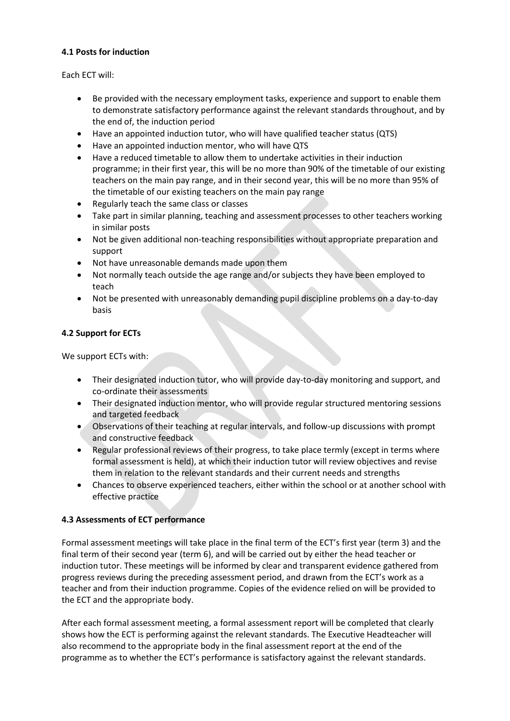# **4.1 Posts for induction**

Each ECT will:

- Be provided with the necessary employment tasks, experience and support to enable them to demonstrate satisfactory performance against the relevant standards throughout, and by the end of, the induction period
- Have an appointed induction tutor, who will have qualified teacher status (QTS)
- Have an appointed induction mentor, who will have QTS
- Have a reduced timetable to allow them to undertake activities in their induction programme; in their first year, this will be no more than 90% of the timetable of our existing teachers on the main pay range, and in their second year, this will be no more than 95% of the timetable of our existing teachers on the main pay range
- Regularly teach the same class or classes
- Take part in similar planning, teaching and assessment processes to other teachers working in similar posts
- Not be given additional non-teaching responsibilities without appropriate preparation and support
- Not have unreasonable demands made upon them
- Not normally teach outside the age range and/or subjects they have been employed to teach
- Not be presented with unreasonably demanding pupil discipline problems on a day-to-day basis

# **4.2 Support for ECTs**

We support ECTs with:

- Their designated induction tutor, who will provide day-to-day monitoring and support, and co-ordinate their assessments
- Their designated induction mentor, who will provide regular structured mentoring sessions and targeted feedback
- Observations of their teaching at regular intervals, and follow-up discussions with prompt and constructive feedback
- Regular professional reviews of their progress, to take place termly (except in terms where formal assessment is held), at which their induction tutor will review objectives and revise them in relation to the relevant standards and their current needs and strengths
- Chances to observe experienced teachers, either within the school or at another school with effective practice

# **4.3 Assessments of ECT performance**

Formal assessment meetings will take place in the final term of the ECT's first year (term 3) and the final term of their second year (term 6), and will be carried out by either the head teacher or induction tutor. These meetings will be informed by clear and transparent evidence gathered from progress reviews during the preceding assessment period, and drawn from the ECT's work as a teacher and from their induction programme. Copies of the evidence relied on will be provided to the ECT and the appropriate body.

After each formal assessment meeting, a formal assessment report will be completed that clearly shows how the ECT is performing against the relevant standards. The Executive Headteacher will also recommend to the appropriate body in the final assessment report at the end of the programme as to whether the ECT's performance is satisfactory against the relevant standards.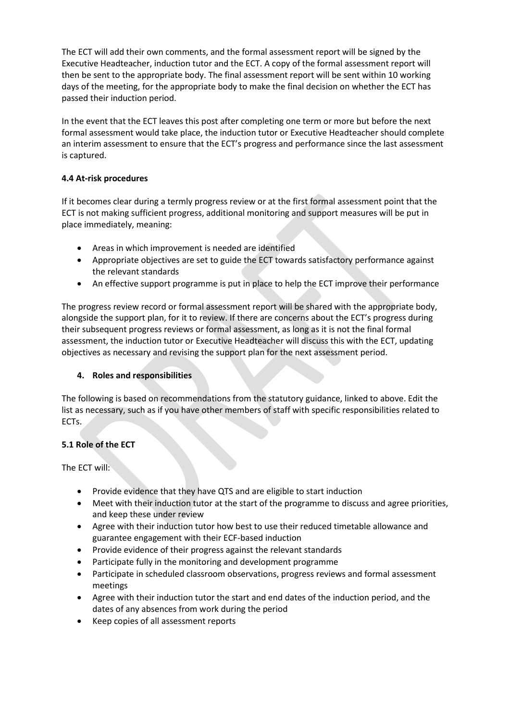The ECT will add their own comments, and the formal assessment report will be signed by the Executive Headteacher, induction tutor and the ECT. A copy of the formal assessment report will then be sent to the appropriate body. The final assessment report will be sent within 10 working days of the meeting, for the appropriate body to make the final decision on whether the ECT has passed their induction period.

In the event that the ECT leaves this post after completing one term or more but before the next formal assessment would take place, the induction tutor or Executive Headteacher should complete an interim assessment to ensure that the ECT's progress and performance since the last assessment is captured.

# **4.4 At-risk procedures**

If it becomes clear during a termly progress review or at the first formal assessment point that the ECT is not making sufficient progress, additional monitoring and support measures will be put in place immediately, meaning:

- Areas in which improvement is needed are identified
- Appropriate objectives are set to guide the ECT towards satisfactory performance against the relevant standards
- An effective support programme is put in place to help the ECT improve their performance

The progress review record or formal assessment report will be shared with the appropriate body, alongside the support plan, for it to review. If there are concerns about the ECT's progress during their subsequent progress reviews or formal assessment, as long as it is not the final formal assessment, the induction tutor or Executive Headteacher will discuss this with the ECT, updating objectives as necessary and revising the support plan for the next assessment period.

### **4. Roles and responsibilities**

The following is based on recommendations from the statutory guidance, linked to above. Edit the list as necessary, such as if you have other members of staff with specific responsibilities related to ECTs.

# **5.1 Role of the ECT**

The ECT will:

- Provide evidence that they have QTS and are eligible to start induction
- Meet with their induction tutor at the start of the programme to discuss and agree priorities, and keep these under review
- Agree with their induction tutor how best to use their reduced timetable allowance and guarantee engagement with their ECF-based induction
- Provide evidence of their progress against the relevant standards
- Participate fully in the monitoring and development programme
- Participate in scheduled classroom observations, progress reviews and formal assessment meetings
- Agree with their induction tutor the start and end dates of the induction period, and the dates of any absences from work during the period
- Keep copies of all assessment reports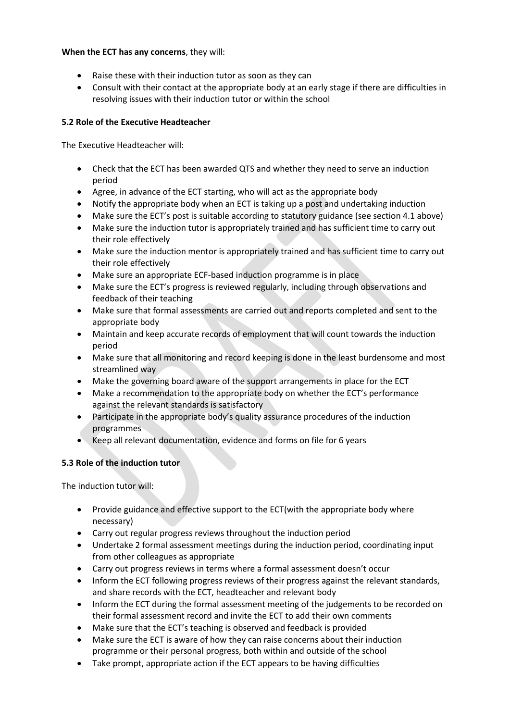# **When the ECT has any concerns**, they will:

- Raise these with their induction tutor as soon as they can
- Consult with their contact at the appropriate body at an early stage if there are difficulties in resolving issues with their induction tutor or within the school

# **5.2 Role of the Executive Headteacher**

The Executive Headteacher will:

- Check that the ECT has been awarded QTS and whether they need to serve an induction period
- Agree, in advance of the ECT starting, who will act as the appropriate body
- Notify the appropriate body when an ECT is taking up a post and undertaking induction
- Make sure the ECT's post is suitable according to statutory guidance (see section 4.1 above)
- Make sure the induction tutor is appropriately trained and has sufficient time to carry out their role effectively
- Make sure the induction mentor is appropriately trained and has sufficient time to carry out their role effectively
- Make sure an appropriate ECF-based induction programme is in place
- Make sure the ECT's progress is reviewed regularly, including through observations and feedback of their teaching
- Make sure that formal assessments are carried out and reports completed and sent to the appropriate body
- Maintain and keep accurate records of employment that will count towards the induction period
- Make sure that all monitoring and record keeping is done in the least burdensome and most streamlined way
- Make the governing board aware of the support arrangements in place for the ECT
- Make a recommendation to the appropriate body on whether the ECT's performance against the relevant standards is satisfactory
- Participate in the appropriate body's quality assurance procedures of the induction programmes
- Keep all relevant documentation, evidence and forms on file for 6 years

# **5.3 Role of the induction tutor**

The induction tutor will:

- Provide guidance and effective support to the ECT(with the appropriate body where necessary)
- Carry out regular progress reviews throughout the induction period
- Undertake 2 formal assessment meetings during the induction period, coordinating input from other colleagues as appropriate
- Carry out progress reviews in terms where a formal assessment doesn't occur
- Inform the ECT following progress reviews of their progress against the relevant standards, and share records with the ECT, headteacher and relevant body
- Inform the ECT during the formal assessment meeting of the judgements to be recorded on their formal assessment record and invite the ECT to add their own comments
- Make sure that the ECT's teaching is observed and feedback is provided
- Make sure the ECT is aware of how they can raise concerns about their induction programme or their personal progress, both within and outside of the school
- Take prompt, appropriate action if the ECT appears to be having difficulties